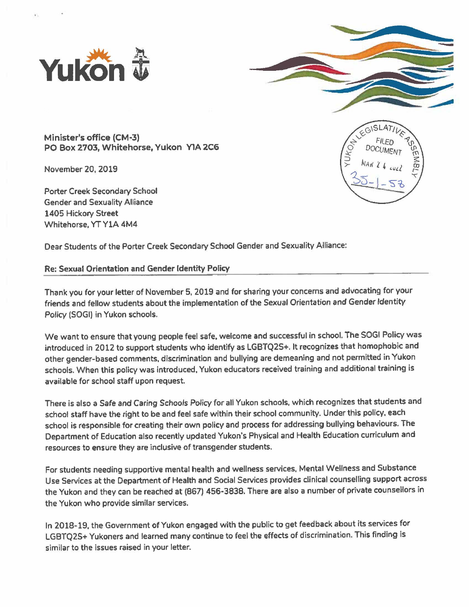



**Minister's office (CM·3) PO Box 2703, Whitehorse, Yukon YlA 2C6** 

November 20, 2019

Porter Creek Secondary School Gender and Sexuality Alliance 1405 Hickory Street Whitehorse, YT YlA 4M4



Dear Students of the Porter Creek Secondary School Gender and Sexuality Alliance:

## Re: Sexual Orientation and Gender Identity Policy

Thank you for your letter of November 5, 2019 and for sharing your concerns and advocating for your friends and fellow students about the implementation of the Sexual Orientation and Gender Identity Policy (SOGI) in Yukon schools.

We want to ensure that young people feel safe, welcome and successful in school. The SOGI Policy was introduced in 2012 to support students who identify as LGBTQ2S+. It recognizes that homophobic and other gender-based comments, discrimination and bullying are demeaning and not permitted in Yukon schools. When this policy was introduced, Yukon educators received training and additional training is available for school staff upon request.

There is also a Safe and Caring Schools Policy for all Yukon schools, which recognizes that students and school staff have the right to be and feel safe within their school community. Under this policy, each school is responsible for creating their own policy and process for addressing bullying behaviours. The Department of Education also recently updated Yukon's Physical and Health Education curriculum and resources to ensure they are inclusive of transgender students.

For students needing supportive mental health and wellness services, Mental Wellness and Substance Use Services at the Department of Health and Social Services provides clinical counselling support across the Yukon and they can be reached at (867) 456-3838. There are also a number of private counsellors in the Yukon who provide similar services.

In 2018-19, the Government of Yukon engaged with the public to get feedback about its services for LGBTQ2S+ Yukoners and learned many continue to feel the effects of discrimination. This finding is similar to the issues raised in your letter.